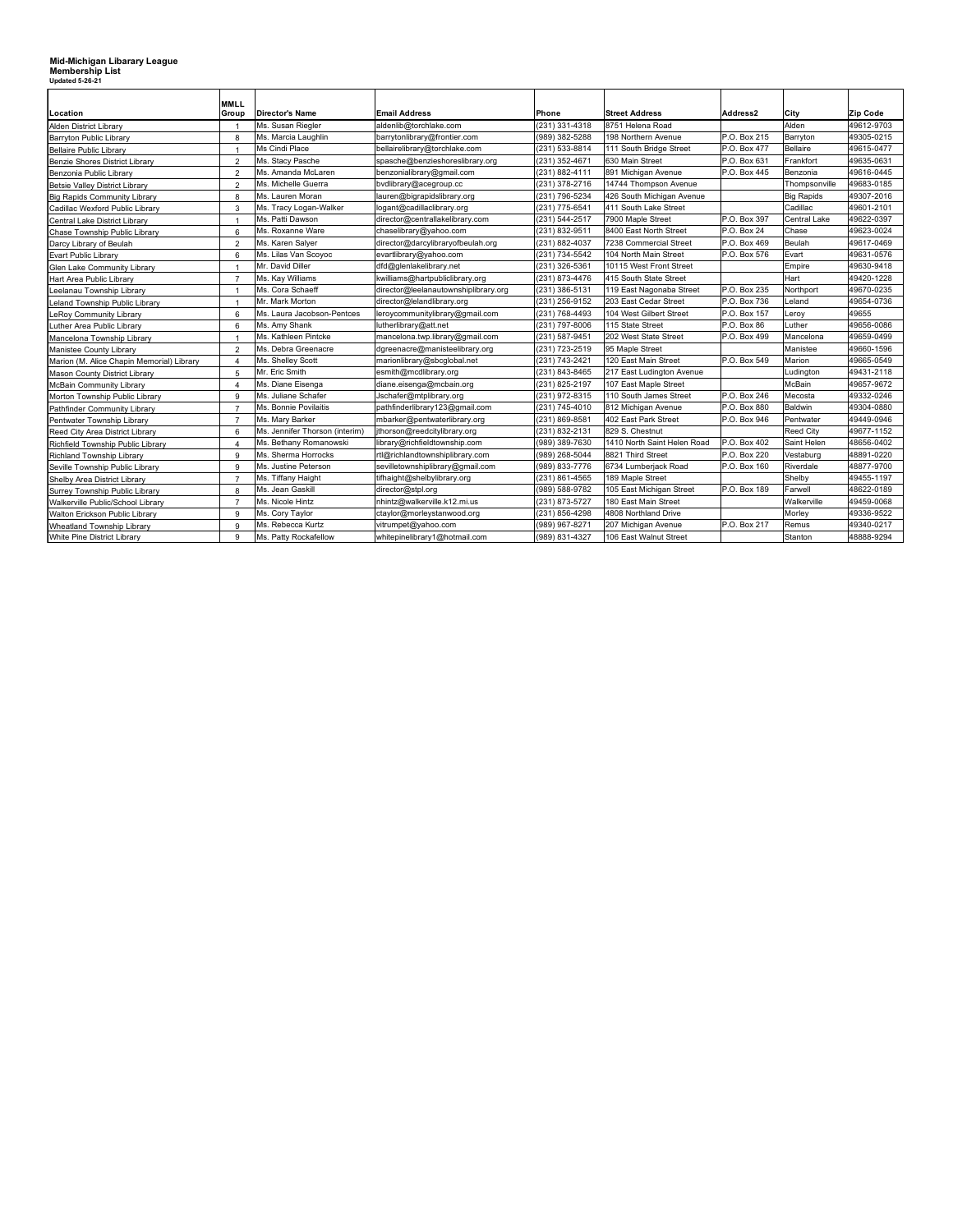## **Mid-Michigan Libarary League Membership List Updated 5-26-21**

| Location                                  | <b>MMLL</b><br>Group     | <b>Director's Name</b>         | <b>Email Address</b>                           | Phone                                    | <b>Street Address</b>       | Address2     | City                | Zip Code   |
|-------------------------------------------|--------------------------|--------------------------------|------------------------------------------------|------------------------------------------|-----------------------------|--------------|---------------------|------------|
| <b>Alden District Librarv</b>             | $\overline{\phantom{0}}$ | Ms. Susan Riegler              | aldenlib@torchlake.com                         | (231) 331-4318                           | 8751 Helena Road            |              | Alden               | 49612-9703 |
| Barryton Public Library                   | 8                        | Ms. Marcia Laughlin            | (989) 382-5288<br>barrytonlibrary@frontier.com |                                          | 198 Northern Avenue         | P.O. Box 215 | Barryton            | 49305-0215 |
| <b>Bellaire Public Library</b>            | -1                       | Ms Cindi Place                 | bellairelibrary@torchlake.com                  | (231) 533-8814                           | 111 South Bridge Street     | P.O. Box 477 | Bellaire            | 49615-0477 |
| Benzie Shores District Library            | $\overline{2}$           | Ms. Stacy Pasche               | spasche@benzieshoreslibrary.org                | (231) 352-4671                           | 630 Main Street             | P.O. Box 631 | Frankfort           | 49635-0631 |
| Benzonia Public Library                   | $\overline{2}$           | Ms. Amanda McLaren             | benzonialibrary@gmail.com                      | (231) 882-4111                           | 891 Michigan Avenue         | P.O. Box 445 | Benzonia            | 49616-0445 |
| Betsie Valley District Library            | $\overline{2}$           | Ms. Michelle Guerra            | bvdlibrary@acegroup.cc                         | (231) 378-2716                           | 14744 Thompson Avenue       |              | Thompsonville       | 49683-0185 |
| <b>Big Rapids Community Library</b>       | 8                        | Ms. Lauren Moran               | lauren@bigrapidslibrary.org                    | (231) 796-5234                           | 426 South Michigan Avenue   |              | <b>Big Rapids</b>   | 49307-2016 |
| Cadillac Wexford Public Library           | 3                        | Ms. Tracy Logan-Walker         | logant@cadillaclibrary.org                     | (231) 775-6541                           | 411 South Lake Street       |              | Cadillac            | 49601-2101 |
| Central Lake District Library             | $\overline{1}$           | Ms. Patti Dawson               | director@centrallakelibrary.com                | 7900 Maple Street<br>(231) 544-2517      |                             | P.O. Box 397 | <b>Central Lake</b> | 49622-0397 |
| Chase Township Public Library             | 6                        | Ms. Roxanne Ware               | chaselibrary@yahoo.com                         | (231) 832-9511<br>8400 East North Street |                             | P.O. Box 24  | Chase               | 49623-0024 |
| Darcy Library of Beulah                   | $\overline{2}$           | Ms. Karen Salyer               | director@darcylibraryofbeulah.org              | 7238 Commercial Street<br>(231) 882-4037 |                             | P.O. Box 469 | Beulah              | 49617-0469 |
| Evart Public Library                      | 6                        | Ms. Lilas Van Scoyoc           | evartlibrary@yahoo.com                         | (231) 734-5542                           | 104 North Main Street       | P.O. Box 576 | Evart               | 49631-0576 |
| Glen Lake Community Library               | -1                       | Mr. David Diller               | dfd@glenlakelibrary.net                        | (231) 326-5361                           | 10115 West Front Street     |              | Empire              | 49630-9418 |
| Hart Area Public Library                  | $\overline{7}$           | Ms. Kay Williams               | kwilliams@hartpubliclibrary.org                | (231) 873-4476                           | 415 South State Street      |              | Hart                | 49420-1228 |
| eelanau Township Library                  | $\overline{\phantom{0}}$ | Ms. Cora Schaeff               | director@leelanautownshiplibrary.org           | (231) 386-5131                           | 119 East Nagonaba Street    | P.O. Box 235 | Northport           | 49670-0235 |
| eland Township Public Library             | $\overline{1}$           | Mr. Mark Morton                | director@lelandlibrary.org                     | (231) 256-9152                           | 203 East Cedar Street       | P.O. Box 736 | Leland              | 49654-0736 |
| eRoy Community Library.                   | 6                        | Ms. Laura Jacobson-Pentces     | leroycommunitylibrary@gmail.com                | (231) 768-4493                           | 104 West Gilbert Street     | P.O. Box 157 | Leroy               | 49655      |
| uther Area Public Library.                | 6                        | Ms. Amy Shank                  | lutherlibrary@att.net                          | (231) 797-8006                           | 115 State Street            | P.O. Box 86  | Luther              | 49656-0086 |
| Mancelona Township Library                | -1                       | Ms. Kathleen Pintcke           | mancelona.twp.library@gmail.com                | (231) 587-9451                           | 202 West State Street       | P.O. Box 499 | Mancelona           | 49659-0499 |
| Manistee County Library                   | $\overline{2}$           | Ms. Debra Greenacre            | dgreenacre@manisteelibrary.org                 | (231) 723-2519                           | 95 Maple Street             |              | Manistee            | 49660-1596 |
| Marion (M. Alice Chapin Memorial) Library | $\overline{4}$           | Ms. Shelley Scott              | marionlibrary@sbcglobal.net                    | (231) 743-2421                           | 120 East Main Street        | P.O. Box 549 | Marion              | 49665-0549 |
| Mason County District Library             | 5                        | Mr. Eric Smith                 | esmith@mcdlibrary.org                          | (231) 843-8465                           | 217 East Ludington Avenue   |              | Ludington           | 49431-2118 |
| <b>McBain Community Library</b>           | $\boldsymbol{\Delta}$    | Ms. Diane Eisenga              | diane.eisenga@mcbain.org                       | (231) 825-2197                           | 107 East Maple Street       |              | McBain              | 49657-9672 |
| Morton Township Public Library            | 9                        | Ms. Juliane Schafer            | Jschafer@mtplibrary.org                        | (231) 972-8315                           | 110 South James Street      | P.O. Box 246 | Mecosta             | 49332-0246 |
| Pathfinder Community Library              | $\overline{7}$           | Ms. Bonnie Povilaitis          | pathfinderlibrary123@gmail.com                 | (231) 745-4010                           | 812 Michigan Avenue         | P.O. Box 880 | Baldwin             | 49304-0880 |
| Pentwater Township Library                | $\overline{7}$           | Ms. Mary Barker                | mbarker@pentwaterlibrary.org                   | (231) 869-8581                           | 402 East Park Street        | P.O. Box 946 | Pentwater           | 49449-0946 |
| Reed City Area District Library           | 6                        | Ms. Jennifer Thorson (interim) | jthorson@reedcitylibrary.org                   | (231) 832-2131                           | 829 S. Chestnut             |              | <b>Reed City</b>    | 49677-1152 |
| Richfield Township Public Library         | $\boldsymbol{\Delta}$    | Ms. Bethany Romanowski         | library@richfieldtownship.com                  | (989) 389-7630                           | 1410 North Saint Helen Road | P.O. Box 402 | Saint Helen         | 48656-0402 |
| Richland Township Library                 | 9                        | Ms. Sherma Horrocks            | rtl@richlandtownshiplibrary.com                | (989) 268-5044                           | 8821 Third Street           | P.O. Box 220 | Vestaburg           | 48891-0220 |
| Seville Township Public Library           | 9                        | Ms. Justine Peterson           | sevilletownshiplibrary@gmail.com               | (989) 833-7776                           | 6734 Lumberjack Road        | P.O. Box 160 | Riverdale           | 48877-9700 |
| Shelby Area District Library              | $\overline{7}$           | Ms. Tiffany Haight             | tifhaight@shelbylibrary.org                    | (231) 861-4565                           | 189 Maple Street            |              | Shelby              | 49455-1197 |
| Surrey Township Public Library            | 8                        | Ms. Jean Gaskill               | director@stpl.org                              | (989) 588-9782                           | 105 East Michigan Street    | P.O. Box 189 | Farwell             | 48622-0189 |
| Walkerville Public/School Library         | $\overline{7}$           | Ms. Nicole Hintz               | nhintz@walkerville.k12.mi.us                   | (231) 873-5727                           | 180 East Main Street        |              | Walkerville         | 49459-0068 |
| Walton Erickson Public Library            | 9                        | Ms. Cory Taylor                | ctaylor@morleystanwood.org                     | (231) 856-4298                           | 4808 Northland Drive        |              | Morley              | 49336-9522 |
| Wheatland Township Library                | 9                        | Ms. Rebecca Kurtz              | vitrumpet@yahoo.com                            | (989) 967-8271                           | 207 Michigan Avenue         | P.O. Box 217 | Remus               | 49340-0217 |
| White Pine District Library               | 9                        | Ms. Patty Rockafellow          | whitepinelibrary1@hotmail.com                  | (989) 831-4327                           | 106 East Walnut Street      |              | Stanton             | 48888-9294 |